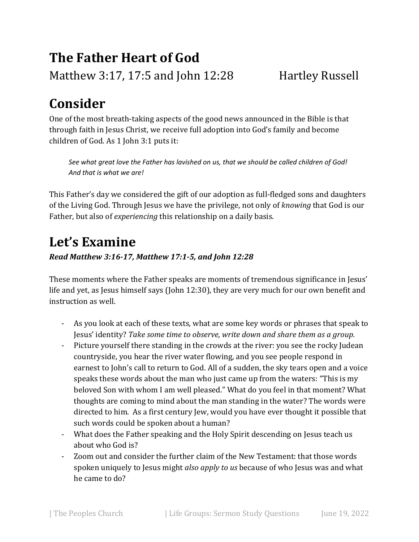# **The Father Heart of God**  Matthew 3:17, 17:5 and John 12:28 Hartley Russell

## **Consider**

One of the most breath-taking aspects of the good news announced in the Bible is that through faith in Jesus Christ, we receive full adoption into God's family and become children of God. As 1 John 3:1 puts it:

*See what great love the Father has lavished on us, that we should be called children of God! And that is what we are!* 

This Father's day we considered the gift of our adoption as full-fledged sons and daughters of the Living God. Through Jesus we have the privilege, not only of *knowing* that God is our Father, but also of *experiencing* this relationship on a daily basis.

### **Let's Examine**

*Read Matthew 3:16-17, Matthew 17:1-5, and John 12:28* 

These moments where the Father speaks are moments of tremendous significance in Jesus' life and yet, as Jesus himself says (John 12:30), they are very much for our own benefit and instruction as well.

- As you look at each of these texts, what are some key words or phrases that speak to Jesus' identity? *Take some time to observe, write down and share them as a group.*
- Picture yourself there standing in the crowds at the river: you see the rocky Judean countryside, you hear the river water flowing, and you see people respond in earnest to John's call to return to God. All of a sudden, the sky tears open and a voice speaks these words about the man who just came up from the waters: "This is my beloved Son with whom I am well pleased." What do you feel in that moment? What thoughts are coming to mind about the man standing in the water? The words were directed to him. As a first century Jew, would you have ever thought it possible that such words could be spoken about a human?
- What does the Father speaking and the Holy Spirit descending on Jesus teach us about who God is?
- Zoom out and consider the further claim of the New Testament: that those words spoken uniquely to Jesus might *also apply to us* because of who Jesus was and what he came to do?